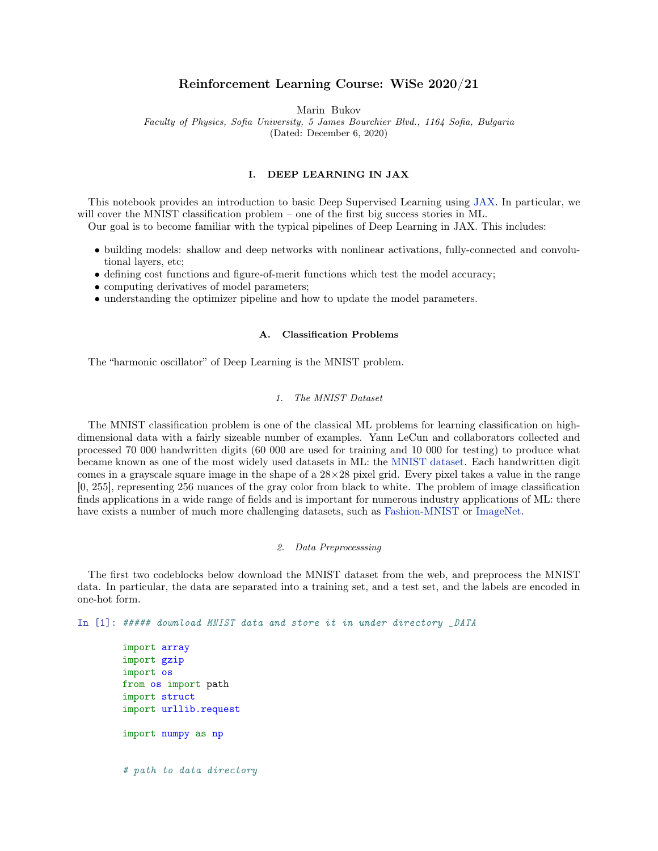# Reinforcement Learning Course: WiSe 2020/21

Marin Bukov

Faculty of Physics, Sofia University, 5 James Bourchier Blvd., 1164 Sofia, Bulgaria

(Dated: December 6, 2020)

# I. DEEP LEARNING IN JAX

This notebook provides an introduction to basic Deep Supervised Learning using [JAX.](https://jax.readthedocs.io/en/latest/) In particular, we will cover the MNIST classification problem – one of the first big success stories in ML.

Our goal is to become familiar with the typical pipelines of Deep Learning in JAX. This includes:

- building models: shallow and deep networks with nonlinear activations, fully-connected and convolutional layers, etc;
- defining cost functions and figure-of-merit functions which test the model accuracy;
- computing derivatives of model parameters;
- understanding the optimizer pipeline and how to update the model parameters.

#### A. Classification Problems

The "harmonic oscillator" of Deep Learning is the MNIST problem.

#### 1. The MNIST Dataset

The MNIST classification problem is one of the classical ML problems for learning classification on highdimensional data with a fairly sizeable number of examples. Yann LeCun and collaborators collected and processed 70 000 handwritten digits (60 000 are used for training and 10 000 for testing) to produce what became known as one of the most widely used datasets in ML: the [MNIST dataset.](http://yann.lecun.com/exdb/mnist/) Each handwritten digit comes in a grayscale square image in the shape of a  $28\times28$  pixel grid. Every pixel takes a value in the range [0, 255], representing 256 nuances of the gray color from black to white. The problem of image classification finds applications in a wide range of fields and is important for numerous industry applications of ML: there have exists a number of much more challenging datasets, such as [Fashion-MNIST](https://github.com/zalandoresearch/fashion-mnist) or [ImageNet.](http://www.image-net.org/)

### 2. Data Preprocesssing

The first two codeblocks below download the MNIST dataset from the web, and preprocess the MNIST data. In particular, the data are separated into a training set, and a test set, and the labels are encoded in one-hot form.

In [1]: ##### download MNIST data and store it in under directory \_DATA

import array import gzip import os from os import path import struct import urllib.request import numpy as np # path to data directory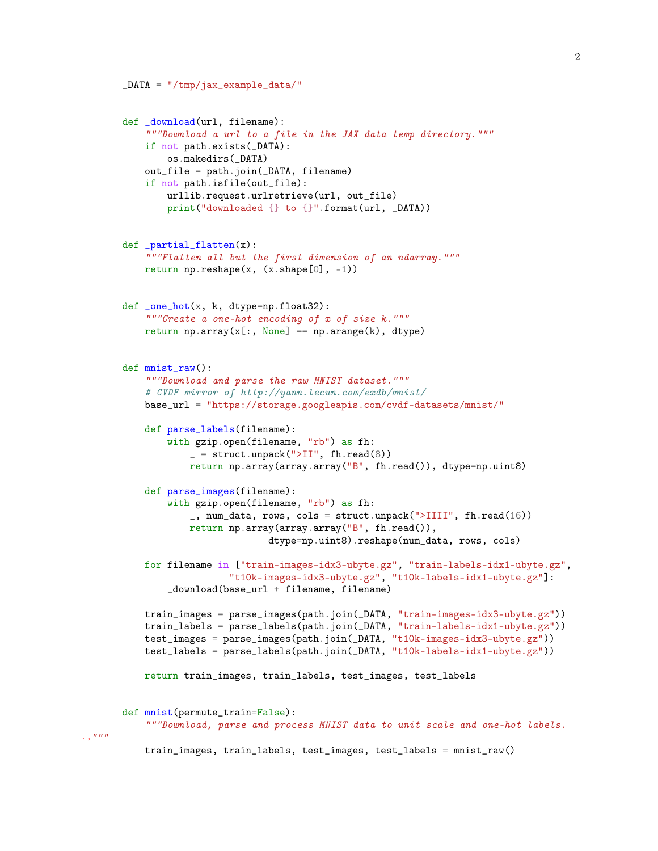```
def _download(url, filename):
    """Download a url to a file in the JAX data temp directory."""
    if not path.exists(_DATA):
       os.makedirs(_DATA)
    out_file = path.join(_DATA, filename)
    if not path.isfile(out_file):
       urllib.request.urlretrieve(url, out_file)
        print("downloaded {} to {}".format(url, _DATA))
def _partial_flatten(x):
    """Flatten all but the first dimension of an ndarray."""
    return np.reshape(x, (x.shape[0], -1))def _one_hot(x, k, dtype=np.float32):
    """Create a one-hot encoding of x of size k."""
    return np.array(x[:, None] == np.arange(k), dtype)
def mnist_raw():
    """Download and parse the raw MNIST dataset."""
    # CVDF mirror of http://yann.lecun.com/exdb/mnist/
   base_url = "https://storage.googleapis.com/cvdf-datasets/mnist/"
    def parse_labels(filename):
        with gzip.open(filename, "rb") as fh:
            = struct.unpack(">II", fh.read(8))
            return np.array(array.array("B", fh.read()), dtype=np.uint8)
    def parse_images(filename):
        with gzip.open(filename, "rb") as fh:
            _, num_data, rows, cols = struct.unpack(">IIII", fh.read(16))
            return np.array(array.array("B", fh.read()),
                          dtype=np.uint8).reshape(num_data, rows, cols)
    for filename in ["train-images-idx3-ubyte.gz", "train-labels-idx1-ubyte.gz",
                   "t10k-images-idx3-ubyte.gz", "t10k-labels-idx1-ubyte.gz"]:
        _download(base_url + filename, filename)
    train_images = parse_images(path.join(_DATA, "train-images-idx3-ubyte.gz"))
    train_labels = parse_labels(path.join(_DATA, "train-labels-idx1-ubyte.gz"))
    test_images = parse_images(path.join(_DATA, "t10k-images-idx3-ubyte.gz"))
    test_labels = parse_labels(path.join(_DATA, "t10k-labels-idx1-ubyte.gz"))
    return train_images, train_labels, test_images, test_labels
def mnist(permute_train=False):
    """Download, parse and process MNIST data to unit scale and one-hot labels.
```
 $DATA = "/tmp/iax_example_data/"$ 

train\_images, train\_labels, test\_images, test\_labels = mnist\_raw()

 $\hookrightarrow$ """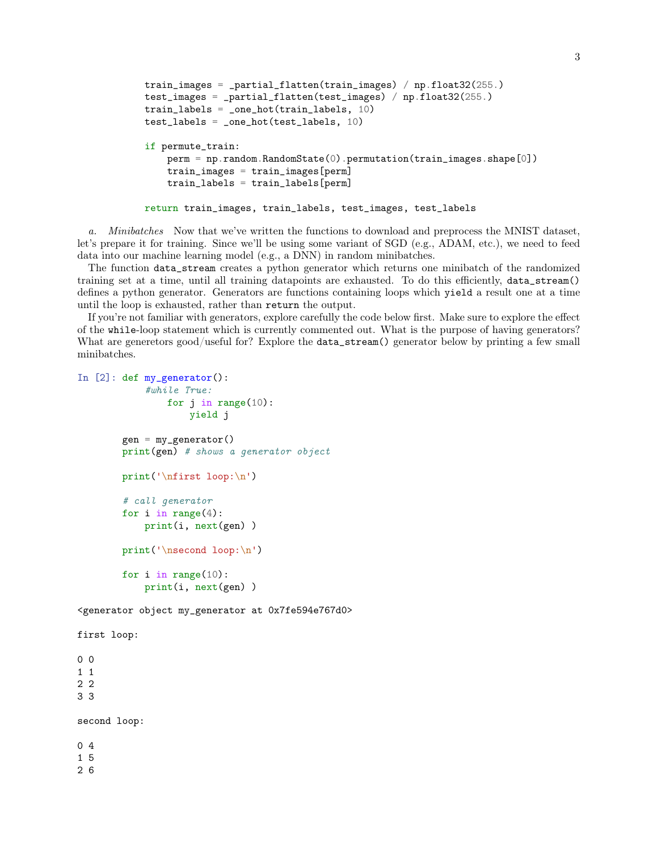```
train_images = _partial_flatten(train_images) / np.float32(255.)
test_images = _partial_flatten(test_images) / np.float32(255.)
train_labels = _one_hot(train_labels, 10)
test_labels = _one_hot(test_labels, 10)
if permute_train:
    perm = np.random.RandomState(0).permutation(train_images.shape[0])
    train_images = train_images[perm]
    train_labels = train_labels[perm]
return train_images, train_labels, test_images, test_labels
```
a. Minibatches Now that we've written the functions to download and preprocess the MNIST dataset, let's prepare it for training. Since we'll be using some variant of SGD (e.g., ADAM, etc.), we need to feed data into our machine learning model (e.g., a DNN) in random minibatches.

The function data\_stream creates a python generator which returns one minibatch of the randomized training set at a time, until all training datapoints are exhausted. To do this efficiently, data\_stream() defines a python generator. Generators are functions containing loops which yield a result one at a time until the loop is exhausted, rather than return the output.

If you're not familiar with generators, explore carefully the code below first. Make sure to explore the effect of the while-loop statement which is currently commented out. What is the purpose of having generators? What are generetors good/useful for? Explore the data\_stream() generator below by printing a few small minibatches.

```
In [2]: def my_generator():
            #while True:
                for j in range(10):
                    yield j
        gen = my\_generator()print(gen) # shows a generator object
        print('\nfirst loop:\n')
        # call generator
        for i in range(4):
            print(i, next(gen) )
        print('\nsecond loop:\n')
        for i in range(10):
            print(i, next(gen) )
<generator object my_generator at 0x7fe594e767d0>
first loop:
0 0
1 1
2 2
3 3
```
second loop: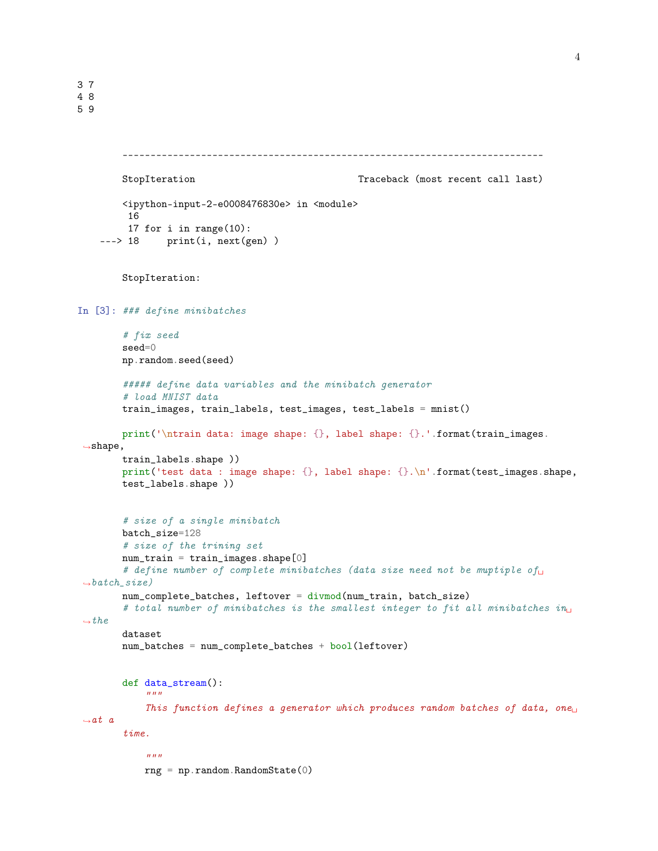```
---------------------------------------------------------------------------
        StopIteration Traceback (most recent call last)
        <ipython-input-2-e0008476830e> in <module>
         16
         17 for i in range(10):
    ---> 18 print(i, next(gen))
        StopIteration:
In [3]: ### define minibatches
        # fix seed
        seed=0
        np.random.seed(seed)
        ##### define data variables and the minibatch generator
        # load MNIST data
        train_images, train_labels, test_images, test_labels = mnist()
        print('\ntrain data: image shape: {}, label shape: {}.'.format(train_images.
 ,→shape,
        train_labels.shape ))
        print('test data : image shape: {}, label shape: {}.\n'.format(test_images.shape,
        test_labels.shape ))
        # size of a single minibatch
        batch_size=128
        # size of the trining set
        num_train = train_images.shape[0]
        # define number of complete minibatches (data size need not be muptiple of
 \rightarrow batch\_size)
        num_complete_batches, leftover = divmod(num_train, batch_size)
        # total number of minibatches is the smallest integer to fit all minibatches in
 \rightarrowthe
        dataset
        num_batches = num_complete_batches + bool(leftover)
        def data_stream():
            \boldsymbol{u} \boldsymbol{u} \boldsymbol{u}This function defines a generator which produces random batches of data, one<sub>\sqcup</sub>
 \rightarrowat a
        time.
            "''"rng = np.random.RandomState(0)
```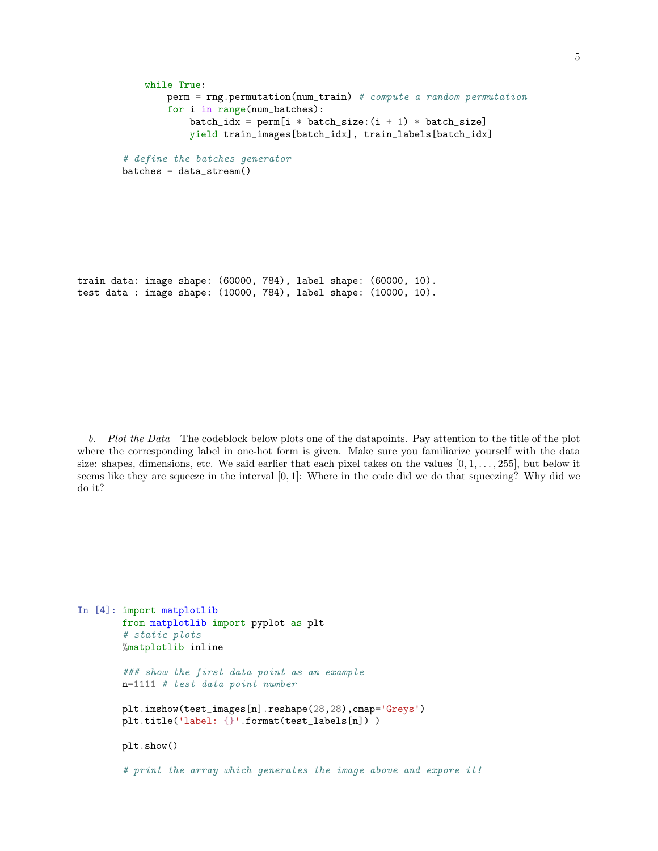```
while True:
       perm = rng.permutation(num_train) # compute a random permutation
        for i in range(num_batches):
            batch_idx = perm[i * batch_size:(i + 1) * batch_size]
            yield train_images[batch_idx], train_labels[batch_idx]
# define the batches generator
batches = data_stream()
```
train data: image shape: (60000, 784), label shape: (60000, 10). test data : image shape: (10000, 784), label shape: (10000, 10).

b. Plot the Data The codeblock below plots one of the datapoints. Pay attention to the title of the plot where the corresponding label in one-hot form is given. Make sure you familiarize yourself with the data size: shapes, dimensions, etc. We said earlier that each pixel takes on the values  $[0, 1, \ldots, 255]$ , but below it seems like they are squeeze in the interval  $[0, 1]$ : Where in the code did we do that squeezing? Why did we do it?

```
In [4]: import matplotlib
       from matplotlib import pyplot as plt
        # static plots
        %matplotlib inline
        ### show the first data point as an example
       n=1111 # test data point number
       plt.imshow(test_images[n].reshape(28,28),cmap='Greys')
       plt.title('label: {}'.format(test_labels[n]) )
       plt.show()
        # print the array which generates the image above and expore it!
```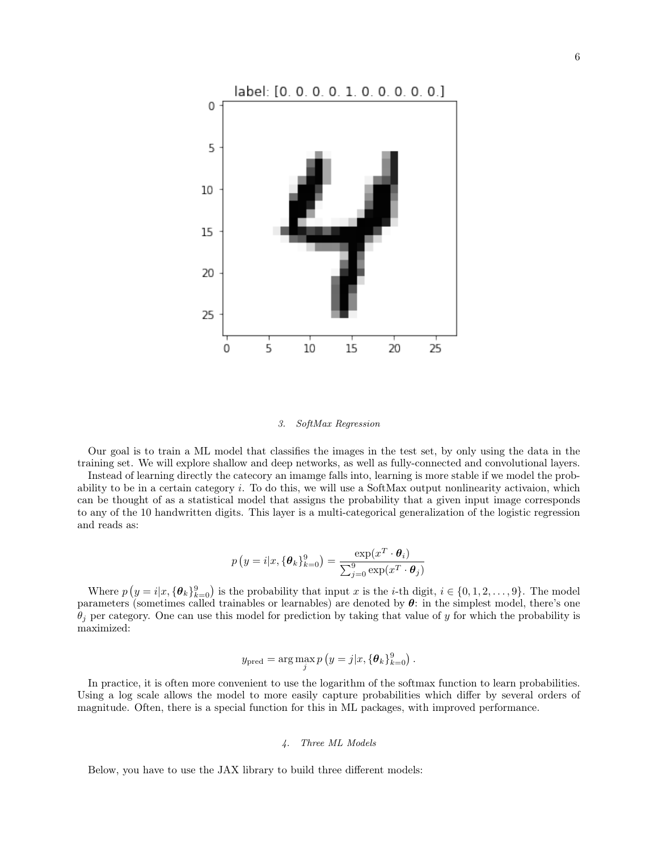

#### 3. SoftMax Regression

Our goal is to train a ML model that classifies the images in the test set, by only using the data in the training set. We will explore shallow and deep networks, as well as fully-connected and convolutional layers.

Instead of learning directly the catecory an imamge falls into, learning is more stable if we model the probability to be in a certain category  $i$ . To do this, we will use a SoftMax output nonlinearity activaion, which can be thought of as a statistical model that assigns the probability that a given input image corresponds to any of the 10 handwritten digits. This layer is a multi-categorical generalization of the logistic regression and reads as:

$$
p(y = i|x, {\theta_k}_{k=0}^9) = \frac{\exp(x^T \cdot \theta_i)}{\sum_{j=0}^9 \exp(x^T \cdot \theta_j)}
$$

Where  $p(y = i|x, {\theta_k}_{k=0}^9)$  is the probability that input x is the *i*-th digit,  $i \in \{0, 1, 2, ..., 9\}$ . The model parameters (sometimes called trainables or learnables) are denoted by  $\theta$ : in the simplest model, there's one  $\theta_i$  per category. One can use this model for prediction by taking that value of y for which the probability is maximized:

$$
y_{\text{pred}} = \arg \max_{j} p\left(y = j | x, \{\boldsymbol{\theta}_k\}_{k=0}^9\right).
$$

In practice, it is often more convenient to use the logarithm of the softmax function to learn probabilities. Using a log scale allows the model to more easily capture probabilities which differ by several orders of magnitude. Often, there is a special function for this in ML packages, with improved performance.

# 4. Three ML Models

Below, you have to use the JAX library to build three different models: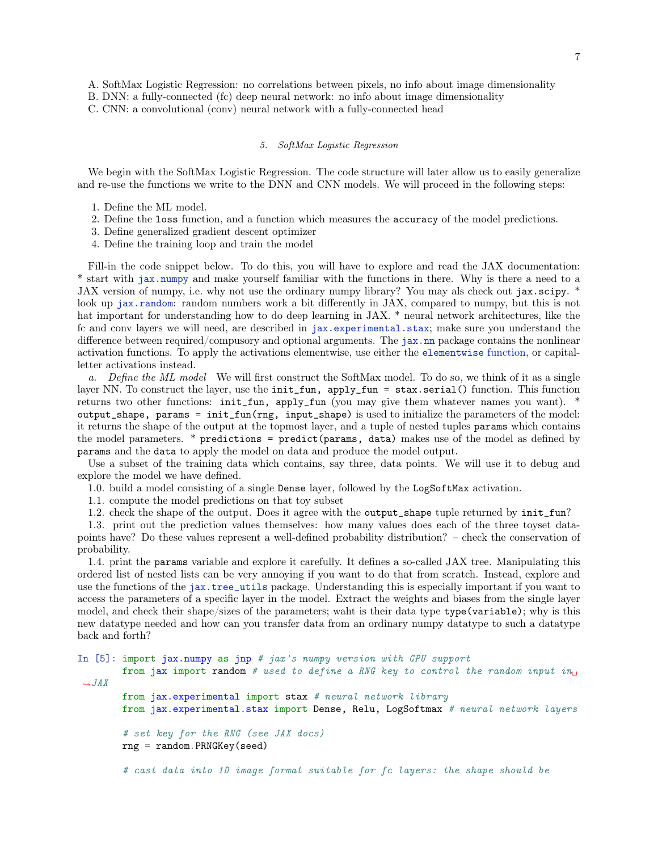- A. SoftMax Logistic Regression: no correlations between pixels, no info about image dimensionality
- B. DNN: a fully-connected (fc) deep neural network: no info about image dimensionality
- C. CNN: a convolutional (conv) neural network with a fully-connected head

### 5. SoftMax Logistic Regression

We begin with the SoftMax Logistic Regression. The code structure will later allow us to easily generalize and re-use the functions we write to the DNN and CNN models. We will proceed in the following steps:

- 1. Define the ML model.
- 2. Define the loss function, and a function which measures the accuracy of the model predictions.
- 3. Define generalized gradient descent optimizer
- 4. Define the training loop and train the model

Fill-in the code snippet below. To do this, you will have to explore and read the JAX documentation: \* start with [jax.numpy](https://jax.readthedocs.io/en/latest/jax.numpy.html) and make yourself familiar with the functions in there. Why is there a need to a JAX version of numpy, i.e. why not use the ordinary numpy library? You may als check out jax.scipy. \* look up [jax.random](https://jax.readthedocs.io/en/latest/jax.random.html): random numbers work a bit differently in JAX, compared to numpy, but this is not hat important for understanding how to do deep learning in JAX. \* neural network architectures, like the fc and conv layers we will need, are described in [jax.experimental.stax](https://jax.readthedocs.io/en/latest/jax.experimental.stax.html); make sure you understand the difference between required/compusory and optional arguments. The [jax.nn](https://jax.readthedocs.io/en/latest/jax.nn.html) package contains the nonlinear activation functions. To apply the activations elementwise, use either the [elementwise](https://jax.readthedocs.io/en/latest/_modules/jax/experimental/stax.html#elementwise) function, or capitalletter activations instead.

a. Define the ML model We will first construct the SoftMax model. To do so, we think of it as a single layer NN. To construct the layer, use the init\_fun, apply\_fun = stax.serial() function. This function returns two other functions: init\_fun, apply\_fun (you may give them whatever names you want). \* output\_shape, params = init\_fun(rng, input\_shape) is used to initialize the parameters of the model: it returns the shape of the output at the topmost layer, and a tuple of nested tuples params which contains the model parameters.  $*$  predictions = predict(params, data) makes use of the model as defined by params and the data to apply the model on data and produce the model output.

Use a subset of the training data which contains, say three, data points. We will use it to debug and explore the model we have defined.

1.0. build a model consisting of a single Dense layer, followed by the LogSoftMax activation.

1.1. compute the model predictions on that toy subset

1.2. check the shape of the output. Does it agree with the output\_shape tuple returned by init\_fun?

1.3. print out the prediction values themselves: how many values does each of the three toyset datapoints have? Do these values represent a well-defined probability distribution? – check the conservation of probability.

1.4. print the params variable and explore it carefully. It defines a so-called JAX tree. Manipulating this ordered list of nested lists can be very annoying if you want to do that from scratch. Instead, explore and use the functions of the [jax.tree\\_utils](https://jax.readthedocs.io/en/latest/jax.tree_util.html) package. Understanding this is especially important if you want to access the parameters of a specific layer in the model. Extract the weights and biases from the single layer model, and check their shape/sizes of the parameters; waht is their data type type(variable); why is this new datatype needed and how can you transfer data from an ordinary numpy datatype to such a datatype back and forth?

```
In [5]: import jax.numpy as jnp # jax's numpy version with GPU support
        from jax import random # used to define a RNG key to control the random input in_{\mathbb{L}}\hookrightarrow JAXfrom jax.experimental import stax # neural network library
        from jax.experimental.stax import Dense, Relu, LogSoftmax # neural network layers
        # set key for the RNG (see JAX docs)
        rng = random.PRNGKey(seed)
        # cast data into 1D image format suitable for fc layers: the shape should be
```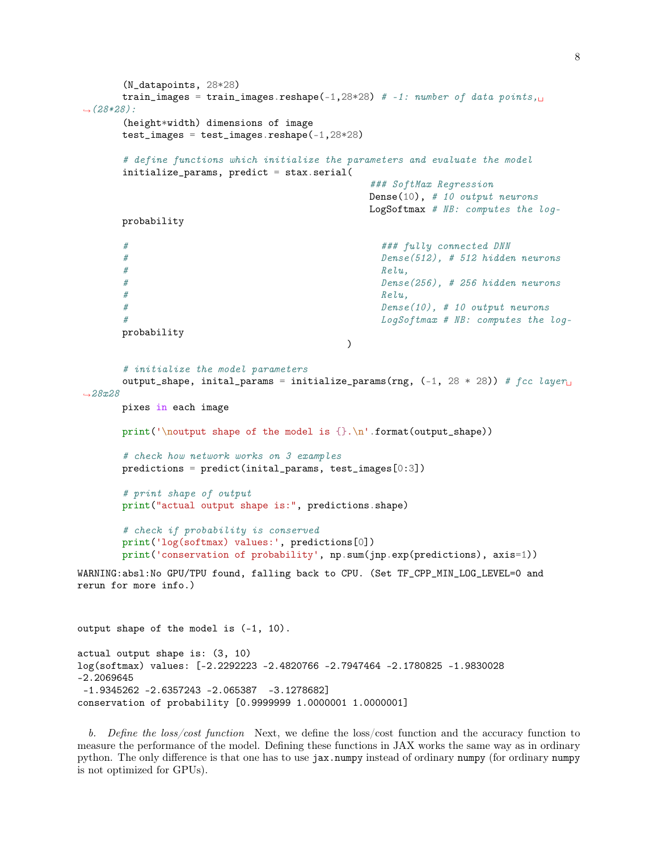```
(N_datapoints, 28*28)
      train_images = train_images.reshape(-1,28*28) # -1: number of data points,\Box(28*28):
      (height*width) dimensions of image
      test_images = test_images.reshape(-1,28*28)
      # define functions which initialize the parameters and evaluate the model
      initialize_params, predict = stax.serial(
                                           ### SoftMax Regression
                                           Dense(10), # 10 output neurons
                                           LogSoftmax # NB: computes the log-
      probability
      # ### fully connected DNN
      # Dense(512), # 512 hidden neurons
      # Relu,# Dense(256), # 256 hidden neurons
      # Relu,# Dense(10), # 10 output neurons
      # LogSoftmax # NB: computes the log-
      probability
                                        \lambda# initialize the model parameters
      output_shape, inital_params = initialize_params(rng, (-1, 28 * 28)) # fcc layer
-28x28pixes in each image
      print('\noutput shape of the model is {}.\n'.format(output_shape))
      # check how network works on 3 examples
      predictions = predict(intal_params, test_images[0:3])# print shape of output
      print("actual output shape is:", predictions.shape)
      # check if probability is conserved
      print('log(softmax) values:', predictions[0])
      print('conservation of probability', np.sum(jnp.exp(predictions), axis=1))
WARNING:absl:No GPU/TPU found, falling back to CPU. (Set TF_CPP_MIN_LOG_LEVEL=0 and
rerun for more info.)
output shape of the model is (-1, 10).
actual output shape is: (3, 10)
log(softmax) values: [-2.2292223 -2.4820766 -2.7947464 -2.1780825 -1.9830028
-2.2069645
-1.9345262 -2.6357243 -2.065387 -3.1278682]
conservation of probability [0.9999999 1.0000001 1.0000001]
```
b. Define the loss/cost function Next, we define the loss/cost function and the accuracy function to measure the performance of the model. Defining these functions in JAX works the same way as in ordinary python. The only difference is that one has to use jax.numpy instead of ordinary numpy (for ordinary numpy is not optimized for GPUs).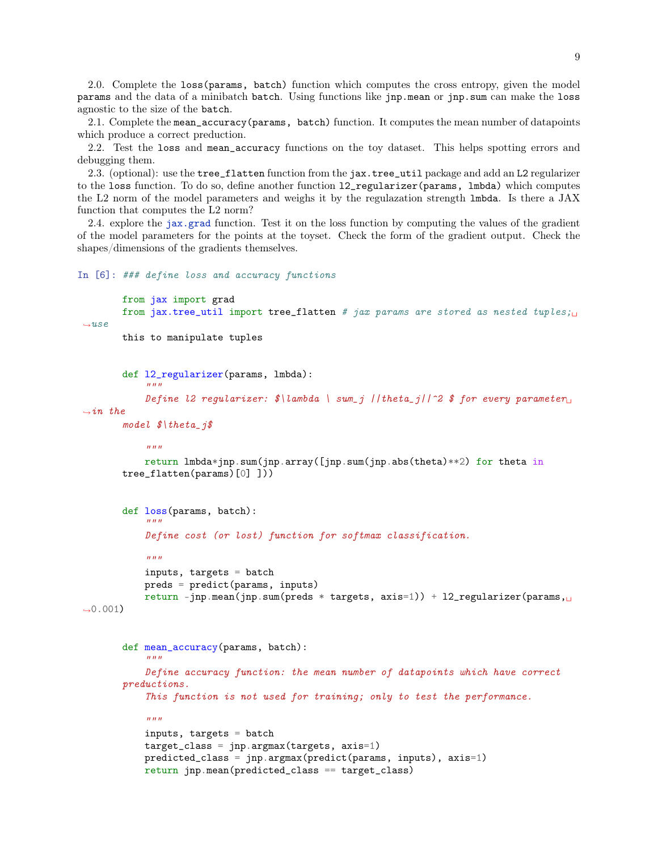2.0. Complete the loss(params, batch) function which computes the cross entropy, given the model params and the data of a minibatch batch. Using functions like jnp.mean or jnp.sum can make the loss agnostic to the size of the batch.

2.1. Complete the mean\_accuracy(params, batch) function. It computes the mean number of datapoints which produce a correct preduction.

2.2. Test the loss and mean\_accuracy functions on the toy dataset. This helps spotting errors and debugging them.

2.3. (optional): use the tree\_flatten function from the jax.tree\_util package and add an L2 regularizer to the loss function. To do so, define another function l2\_regularizer(params, lmbda) which computes the L2 norm of the model parameters and weighs it by the regulazation strength lmbda. Is there a JAX function that computes the L2 norm?

2.4. explore the [jax.grad](https://jax.readthedocs.io/en/latest/jax.html#jax.grad) function. Test it on the loss function by computing the values of the gradient of the model parameters for the points at the toyset. Check the form of the gradient output. Check the shapes/dimensions of the gradients themselves.

#### In [6]: ### define loss and accuracy functions

```
from jax import grad
       from jax.tree_util import tree_flatten # jax params are stored as nested tuples;\Box-use
```

```
this to manipulate tuples
```

```
def l2_regularizer(params, lmbda):
    """
```

```
Define l2 regularizer: \frac{\partial \text{L}}{\partial x} \ sum_j ||theta_j||^2 \frac{\partial \text{L}}{\partial y} for every parameter
\rightarrowin the
```

```
model \hat{\mathcal{S}} theta_j\hat{\mathcal{S}}
```

```
"''"
```

```
return lmbda*jnp.sum(jnp.array([jnp.sum(jnp.abs(theta)**2) for theta in
tree_flatten(params)[0] ]))
```

```
def loss(params, batch):
    "" "
    Define cost (or lost) function for softmax classification.
    "''"''"inputs, targets = batch
    preds = predict(params, inputs)
    return -jnp.mean(jnp.sum(preds * targets, axis=1)) + 12_regularizer(params,
```

```
-0.001)
```

```
def mean_accuracy(params, batch):
    "''"Define accuracy function: the mean number of datapoints which have correct
preductions.
    This function is not used for training; only to test the performance.
    "''"inputs, targets = batch
    target_class = jnp.argmax(targets, axis=1)
   predicted_class = jnp.argmax(predict(params, inputs), axis=1)
    return jnp.mean(predicted_class == target_class)
```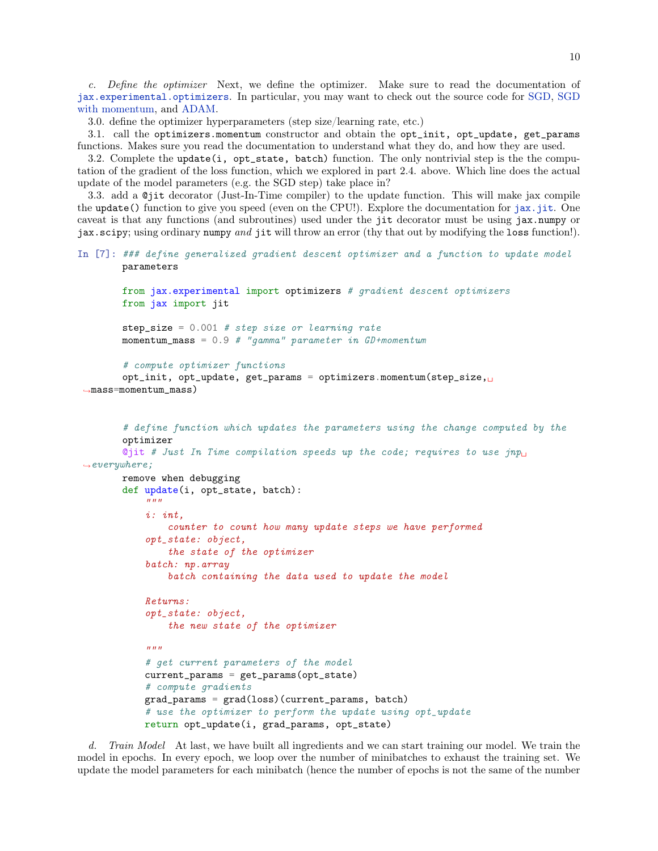c. Define the optimizer Next, we define the optimizer. Make sure to read the documentation of [jax.experimental.optimizers](https://jax.readthedocs.io/en/latest/jax.experimental.optimizers.html). In particular, you may want to check out the source code for [SGD,](https://jax.readthedocs.io/en/latest/_modules/jax/experimental/optimizers.html#sgd) [SGD](https://jax.readthedocs.io/en/latest/_modules/jax/experimental/optimizers.html#momentum) [with momentum,](https://jax.readthedocs.io/en/latest/_modules/jax/experimental/optimizers.html#momentum) and [ADAM.](https://jax.readthedocs.io/en/latest/_modules/jax/experimental/optimizers.html#adam)

3.0. define the optimizer hyperparameters (step size/learning rate, etc.)

3.1. call the optimizers.momentum constructor and obtain the opt\_init, opt\_update, get\_params functions. Makes sure you read the documentation to understand what they do, and how they are used.

3.2. Complete the update(i,  $opt\_state$ , batch) function. The only nontrivial step is the the computation of the gradient of the loss function, which we explored in part 2.4. above. Which line does the actual update of the model parameters (e.g. the SGD step) take place in?

3.3. add a @jit decorator (Just-In-Time compiler) to the update function. This will make jax compile the update() function to give you speed (even on the CPU!). Explore the documentation for  $jax$ ,  $jit$ . One caveat is that any functions (and subroutines) used under the jit decorator must be using jax.numpy or jax.scipy; using ordinary numpy and jit will throw an error (thy that out by modifying the loss function!).

```
In [7]: ### define generalized gradient descent optimizer and a function to update model
       parameters
```

```
from jax.experimental import optimizers # gradient descent optimizers
       from jax import jit
       step_size = 0.001 # step size or learning rate
       momentum_mass = 0.9 # "gamma" parameter in GD+momentum
       # compute optimizer functions
       opt_init, opt_update, get_params = optimizers.momentum(step_size,
,→mass=momentum_mass)
       # define function which updates the parameters using the change computed by the
       optimizer
       Qjit # Just In Time compilation speeds up the code; requires to use jnp_{\perp}\rightarroweverywhere;
       remove when debugging
       def update(i, opt_state, batch):
           "''"
```

```
i: int,
    counter to count how many update steps we have performed
opt_state: object,
    the state of the optimizer
batch: np.array
    batch containing the data used to update the model
Returns:
opt_state: object,
    the new state of the optimizer
"''"# get current parameters of the model
current_params = get_params(opt_state)
# compute gradients
grad_params = grad(loss)(current_params, batch)
# use the optimizer to perform the update using opt_update
return opt_update(i, grad_params, opt_state)
```
d. Train Model At last, we have built all ingredients and we can start training our model. We train the model in epochs. In every epoch, we loop over the number of minibatches to exhaust the training set. We update the model parameters for each minibatch (hence the number of epochs is not the same of the number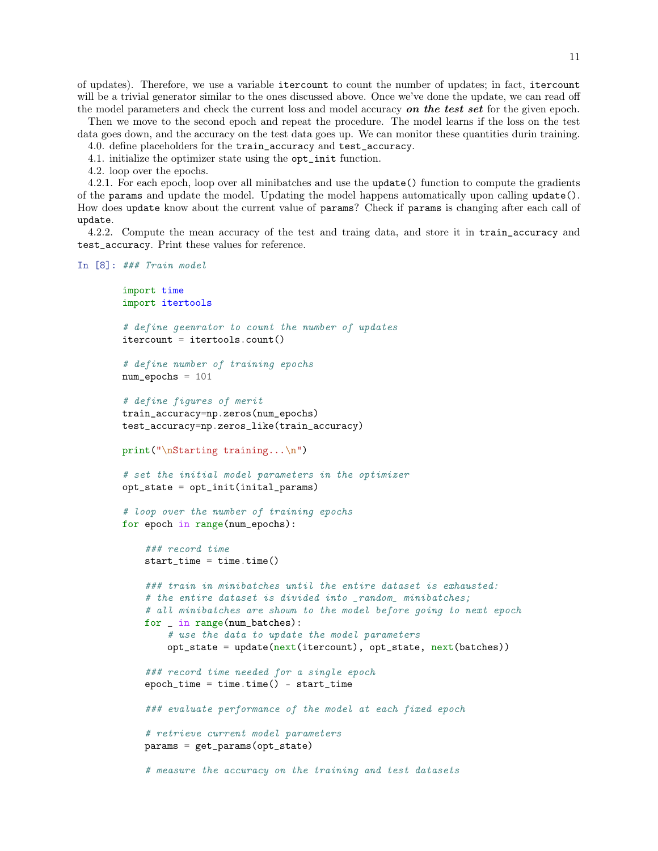of updates). Therefore, we use a variable itercount to count the number of updates; in fact, itercount will be a trivial generator similar to the ones discussed above. Once we've done the update, we can read off the model parameters and check the current loss and model accuracy on the test set for the given epoch.

Then we move to the second epoch and repeat the procedure. The model learns if the loss on the test data goes down, and the accuracy on the test data goes up. We can monitor these quantities durin training.

- 4.0. define placeholders for the train\_accuracy and test\_accuracy.
- 4.1. initialize the optimizer state using the opt\_init function.
- 4.2. loop over the epochs.

4.2.1. For each epoch, loop over all minibatches and use the update() function to compute the gradients of the params and update the model. Updating the model happens automatically upon calling update(). How does update know about the current value of params? Check if params is changing after each call of update.

4.2.2. Compute the mean accuracy of the test and traing data, and store it in train\_accuracy and test\_accuracy. Print these values for reference.

```
In [8]: ### Train model
```

```
import time
import itertools
# define geenrator to count the number of updates
itercount = itertools.count()
# define number of training epochs
num\_epochs = 101# define figures of merit
train_accuracy=np.zeros(num_epochs)
test_accuracy=np.zeros_like(train_accuracy)
print("\nStarting training...\n")
# set the initial model parameters in the optimizer
opt_state = opt_init(inital_params)
# loop over the number of training epochs
for epoch in range(num_epochs):
    ### record time
    start_time = time.time()### train in minibatches until the entire dataset is exhausted:
    # the entire dataset is divided into _random_ minibatches;
    # all minibatches are shown to the model before going to next epoch
    for _ in range(num_batches):
        # use the data to update the model parameters
        opt\_state = update(next(itercount), opt\_state, next(batches))### record time needed for a single epoch
    epoch_time = time.time() - start_time### evaluate performance of the model at each fixed epoch
    # retrieve current model parameters
    params = get_params(opt_state)
    # measure the accuracy on the training and test datasets
```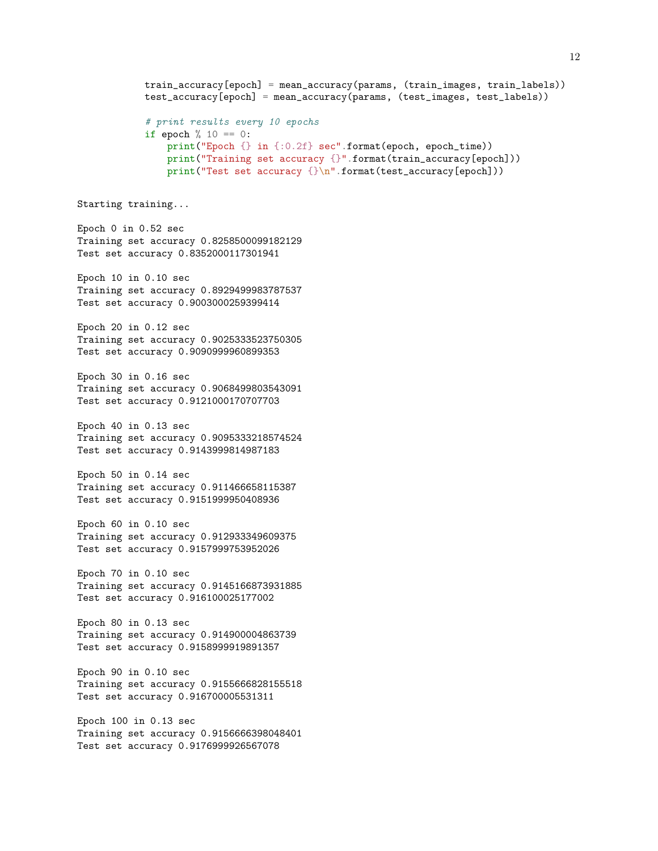```
train_accuracy[epoch] = mean_accuracy(params, (train_images, train_labels))
            test_accuracy[epoch] = mean_accuracy(params, (test_images, test_labels))
            # print results every 10 epochs
            if epoch \frac{9}{6} 10 == 0:
                print("Epoch {} in {:0.2f} sec".format(epoch, epoch_time))
                print("Training set accuracy {}".format(train_accuracy[epoch]))
                print("Test set accuracy {}\n".format(test_accuracy[epoch]))
Starting training...
Epoch 0 in 0.52 sec
Training set accuracy 0.8258500099182129
Test set accuracy 0.8352000117301941
Epoch 10 in 0.10 sec
Training set accuracy 0.8929499983787537
Test set accuracy 0.9003000259399414
Epoch 20 in 0.12 sec
Training set accuracy 0.9025333523750305
Test set accuracy 0.9090999960899353
Epoch 30 in 0.16 sec
Training set accuracy 0.9068499803543091
Test set accuracy 0.9121000170707703
Epoch 40 in 0.13 sec
Training set accuracy 0.9095333218574524
Test set accuracy 0.9143999814987183
Epoch 50 in 0.14 sec
Training set accuracy 0.911466658115387
Test set accuracy 0.9151999950408936
Epoch 60 in 0.10 sec
Training set accuracy 0.912933349609375
Test set accuracy 0.9157999753952026
Epoch 70 in 0.10 sec
Training set accuracy 0.9145166873931885
Test set accuracy 0.916100025177002
Epoch 80 in 0.13 sec
Training set accuracy 0.914900004863739
Test set accuracy 0.9158999919891357
Epoch 90 in 0.10 sec
Training set accuracy 0.9155666828155518
Test set accuracy 0.916700005531311
Epoch 100 in 0.13 sec
Training set accuracy 0.9156666398048401
Test set accuracy 0.9176999926567078
```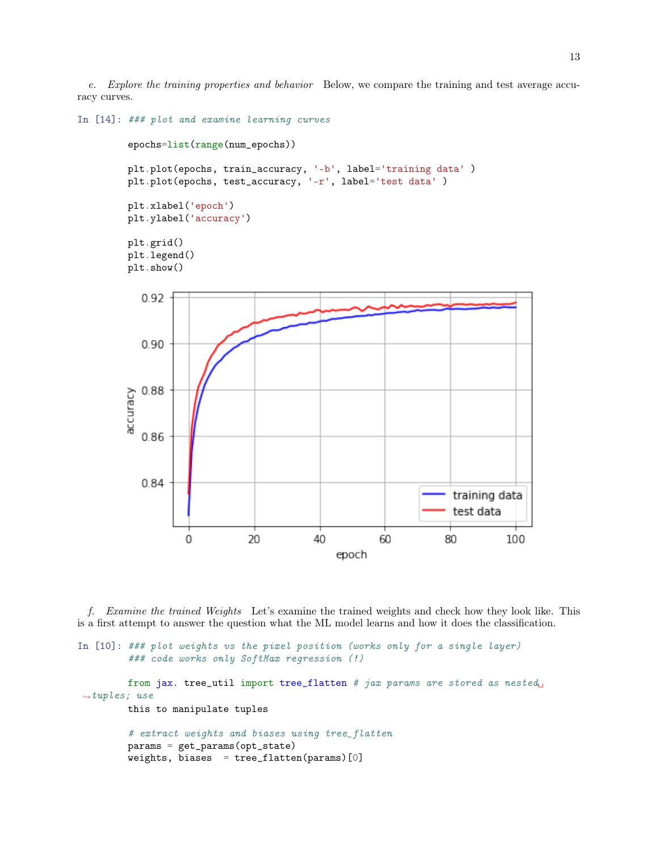e. Explore the training properties and behavior Below, we compare the training and test average accuracy curves.

```
In [14]: ### plot and examine learning curves
         epochs=list(range(num_epochs))
         plt.plot(epochs, train_accuracy, '-b', label='training data')
         plt.plot(epochs, test_accuracy, '-r', label='test data' )
         plt.xlabel('epoch')
         plt.ylabel('accuracy')
         plt.grid()
         plt.legend()
         plt.show()
            0.92
            0.90
            0.88
         accuracy
            0.86
            0.84
                                                                        training data
                                                                        test data
                    \mathbf 020
                                             40
                                                          60
                                                                      80
                                                                                  100
                                                 epoch
```
f. Examine the trained Weights Let's examine the trained weights and check how they look like. This is a first attempt to answer the question what the ML model learns and how it does the classification.

```
In [10]: ### plot weights vs the pixel position (works only for a single layer)
         ### code works only SoftMax regression (!)
         from jax. tree_util import tree_flatten # jax params are stored as nested<sub>u</sub></sub>
 \rightarrowtuples; use
         this to manipulate tuples
         # extract weights and biases using tree_flatten
         params = get_params(opt_state)
         weights, biases = tree_flatten(params)[0]
```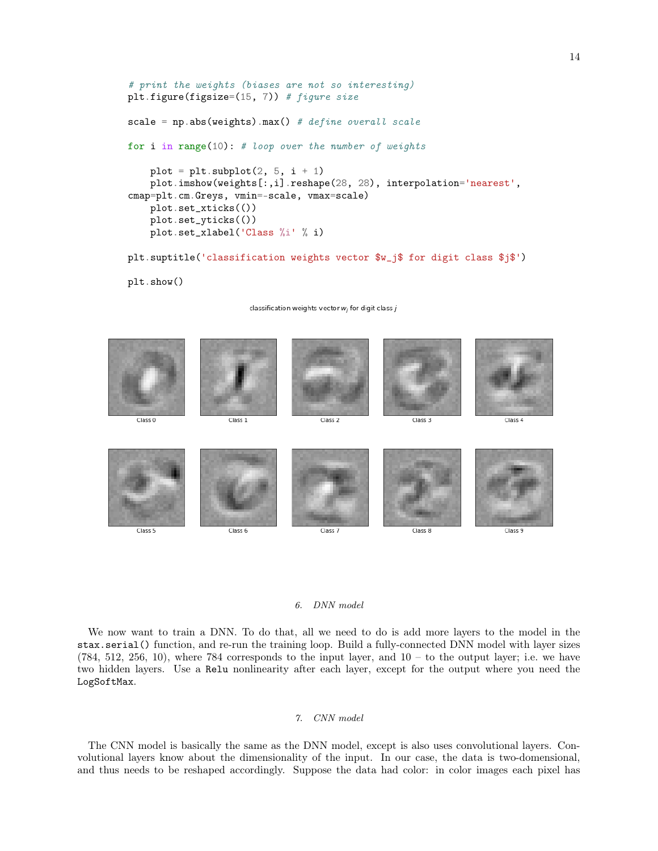```
# print the weights (biases are not so interesting)
plt.figure(figsize=(15, 7)) # figure size
scale = np. abs(weights) . max() # define overall scale
for i in range(10): # loop over the number of weights
   plot = plt.subplot(2, 5, i + 1)plot.imshow(weights[:,i].reshape(28, 28), interpolation='nearest',
cmap=plt.cm.Greys, vmin=-scale, vmax=scale)
   plot.set_xticks(())
   plot.set_yticks(())
   plot.set_xlabel('Class %i' % i)
plt.suptitle('classification weights vector $w_j$ for digit class $j$')
```

```
plt.show()
```
classification weights vector  $w_j$  for digit class  $j$ 



#### 6. DNN model

We now want to train a DNN. To do that, all we need to do is add more layers to the model in the stax.serial() function, and re-run the training loop. Build a fully-connected DNN model with layer sizes  $(784, 512, 256, 10)$ , where 784 corresponds to the input layer, and  $10 -$  to the output layer; i.e. we have two hidden layers. Use a Relu nonlinearity after each layer, except for the output where you need the LogSoftMax.

### 7. CNN model

The CNN model is basically the same as the DNN model, except is also uses convolutional layers. Convolutional layers know about the dimensionality of the input. In our case, the data is two-domensional, and thus needs to be reshaped accordingly. Suppose the data had color: in color images each pixel has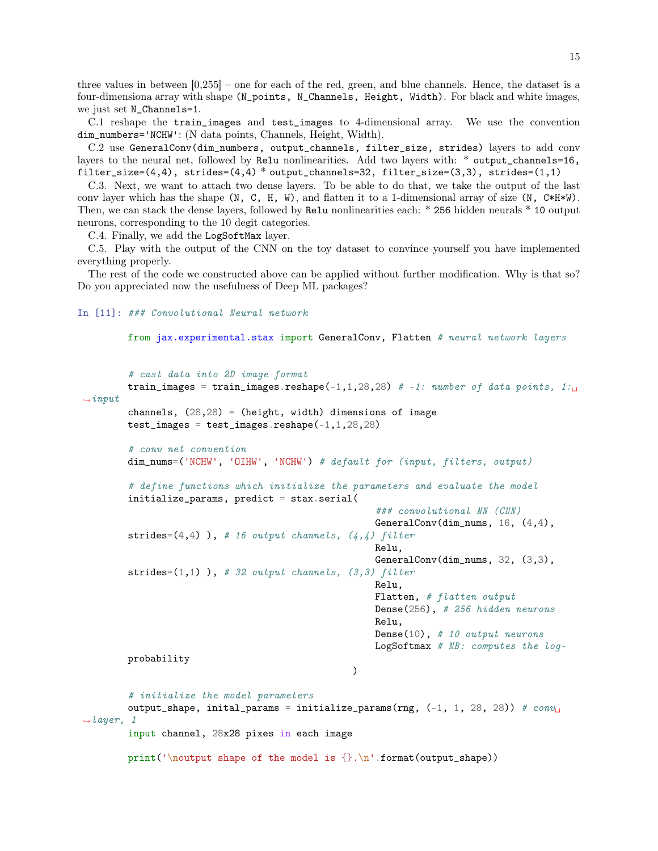three values in between [0,255] – one for each of the red, green, and blue channels. Hence, the dataset is a four-dimensiona array with shape (N\_points, N\_Channels, Height, Width). For black and white images, we just set N\_Channels=1.

C.1 reshape the train\_images and test\_images to 4-dimensional array. We use the convention dim\_numbers='NCHW': (N data points, Channels, Height, Width).

C.2 use GeneralConv(dim\_numbers, output\_channels, filter\_size, strides) layers to add conv layers to the neural net, followed by Relu nonlinearities. Add two layers with: \* output\_channels=16, filter\_size= $(4,4)$ , strides= $(4,4)$  \* output\_channels=32, filter\_size= $(3,3)$ , strides= $(1,1)$ 

C.3. Next, we want to attach two dense layers. To be able to do that, we take the output of the last conv layer which has the shape  $(N, C, H, W)$ , and flatten it to a 1-dimensional array of size  $(N, C*H*W)$ . Then, we can stack the dense layers, followed by Relu nonlinearities each: \* 256 hidden neurals \* 10 output neurons, corresponding to the 10 degit categories.

C.4. Finally, we add the LogSoftMax layer.

C.5. Play with the output of the CNN on the toy dataset to convince yourself you have implemented everything properly.

The rest of the code we constructed above can be applied without further modification. Why is that so? Do you appreciated now the usefulness of Deep ML packages?

# In [11]: ### Convolutional Neural network

# conv net convention

from jax.experimental.stax import GeneralConv, Flatten # neural network layers

```
# cast data into 2D image format
```

```
train_images = train_images.reshape(-1,1,28,28) # -1: number of data points, 1:\rightarrowinput
        channels, (28,28) = (height, width) dimensions of image
        test\_images = test\_images.read = ( -1, 1, 28, 28)
```

```
dim_nums=('NCHW', 'OIHW', 'NCHW') # default for (input, filters, output)
```

```
# define functions which initialize the parameters and evaluate the model
initialize_params, predict = stax.serial(
```
### convolutional NN (CNN) GeneralConv(dim\_nums, 16,  $(4, 4)$ , strides= $(4,4)$ ), # 16 output channels,  $(4,4)$  filter

> Relu, GeneralConv(dim\_nums, 32, (3,3),

strides= $(1,1)$ ), # 32 output channels,  $(3,3)$  filter Relu, Flatten, # flatten output Dense(256), # 256 hidden neurons Relu, Dense(10), # 10 output neurons LogSoftmax  $# NB:$  computes the log-

probability

```
)
```
# initialize the model parameters output\_shape, inital\_params = initialize\_params(rng,  $(-1, 1, 28, 28)$ ) # conv<sub>U</sub>  $\rightarrow$ layer, 1 input channel, 28x28 pixes in each image

print('\noutput shape of the model is  $\{\}.\n\$  .format(output\_shape))